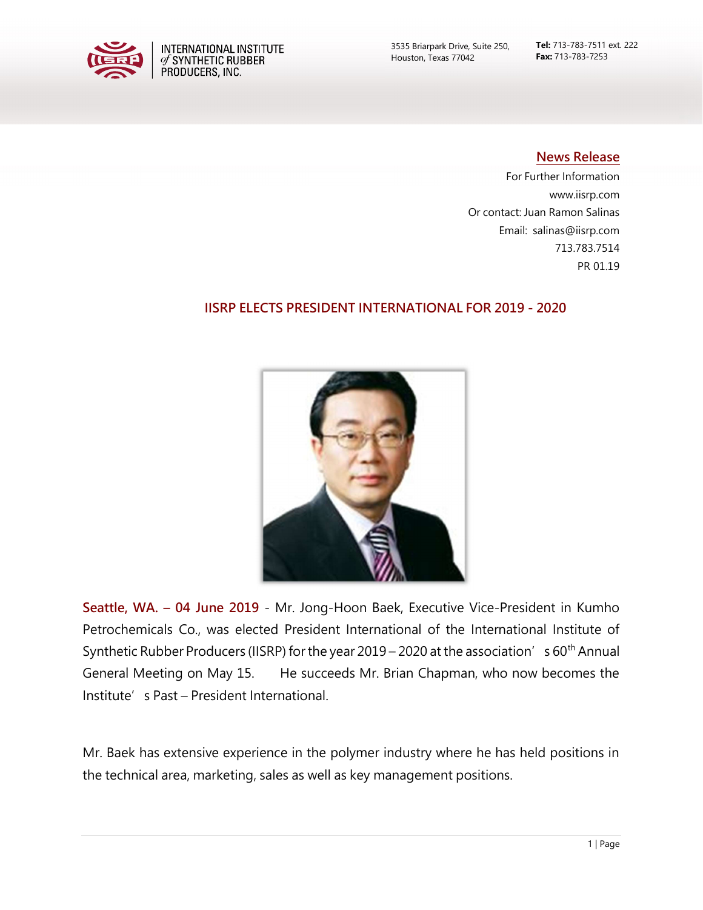

Tel: 713-783-7511 ext. 222 Fax: 713-783-7253

## News Release

For Further Information www.iisrp.com Or contact: Juan Ramon Salinas Email: salinas@iisrp.com 713.783.7514 PR 01.19

## IISRP ELECTS PRESIDENT INTERNATIONAL FOR 2019 - 2020



Seattle, WA. – 04 June 2019 - Mr. Jong-Hoon Baek, Executive Vice-President in Kumho Petrochemicals Co., was elected President International of the International Institute of Synthetic Rubber Producers (IISRP) for the year 2019 – 2020 at the association's 60<sup>th</sup> Annual General Meeting on May 15. He succeeds Mr. Brian Chapman, who now becomes the Institute's Past – President International.

Mr. Baek has extensive experience in the polymer industry where he has held positions in the technical area, marketing, sales as well as key management positions.